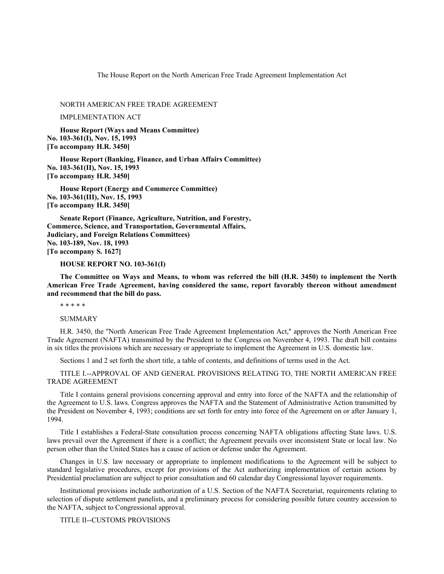The House Report on the North American Free Trade Agreement Implementation Act

NORTH AMERICAN FREE TRADE AGREEMENT

IMPLEMENTATION ACT

**House Report (Ways and Means Committee) No. 103-361(I), Nov. 15, 1993 [To accompany H.R. 3450]**

**House Report (Banking, Finance, and Urban Affairs Committee) No. 103-361(II), Nov. 15, 1993 [To accompany H.R. 3450]**

**House Report (Energy and Commerce Committee) No. 103-361(III), Nov. 15, 1993 [To accompany H.R. 3450]**

**Senate Report (Finance, Agriculture, Nutrition, and Forestry, Commerce, Science, and Transportation, Governmental Affairs, Judiciary, and Foreign Relations Committees) No. 103-189, Nov. 18, 1993 [To accompany S. 1627]**

#### **HOUSE REPORT NO. 103-361(I)**

**The Committee on Ways and Means, to whom was referred the bill (H.R. 3450) to implement the North American Free Trade Agreement, having considered the same, report favorably thereon without amendment and recommend that the bill do pass.**

\* \* \* \* \*

SUMMARY

H.R. 3450, the ''North American Free Trade Agreement Implementation Act,'' approves the North American Free Trade Agreement (NAFTA) transmitted by the President to the Congress on November 4, 1993. The draft bill contains in six titles the provisions which are necessary or appropriate to implement the Agreement in U.S. domestic law.

Sections 1 and 2 set forth the short title, a table of contents, and definitions of terms used in the Act.

TITLE I.--APPROVAL OF AND GENERAL PROVISIONS RELATING TO, THE NORTH AMERICAN FREE TRADE AGREEMENT

Title I contains general provisions concerning approval and entry into force of the NAFTA and the relationship of the Agreement to U.S. laws. Congress approves the NAFTA and the Statement of Administrative Action transmitted by the President on November 4, 1993; conditions are set forth for entry into force of the Agreement on or after January 1, 1994.

Title I establishes a Federal-State consultation process concerning NAFTA obligations affecting State laws. U.S. laws prevail over the Agreement if there is a conflict; the Agreement prevails over inconsistent State or local law. No person other than the United States has a cause of action or defense under the Agreement.

Changes in U.S. law necessary or appropriate to implement modifications to the Agreement will be subject to standard legislative procedures, except for provisions of the Act authorizing implementation of certain actions by Presidential proclamation are subject to prior consultation and 60 calendar day Congressional layover requirements.

Institutional provisions include authorization of a U.S. Section of the NAFTA Secretariat, requirements relating to selection of dispute settlement panelists, and a preliminary process for considering possible future country accession to the NAFTA, subject to Congressional approval.

TITLE II--CUSTOMS PROVISIONS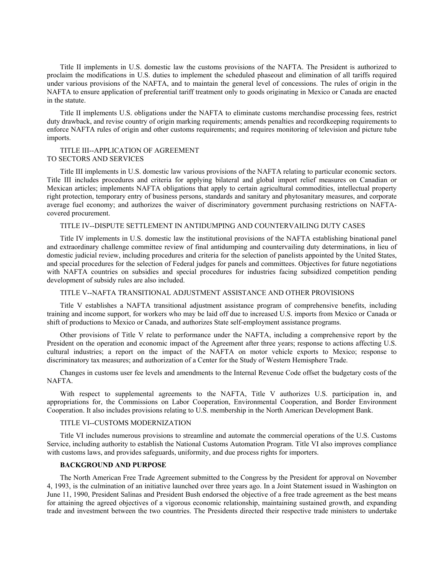Title II implements in U.S. domestic law the customs provisions of the NAFTA. The President is authorized to proclaim the modifications in U.S. duties to implement the scheduled phaseout and elimination of all tariffs required under various provisions of the NAFTA, and to maintain the general level of concessions. The rules of origin in the NAFTA to ensure application of preferential tariff treatment only to goods originating in Mexico or Canada are enacted in the statute.

Title II implements U.S. obligations under the NAFTA to eliminate customs merchandise processing fees, restrict duty drawback, and revise country of origin marking requirements; amends penalties and recordkeeping requirements to enforce NAFTA rules of origin and other customs requirements; and requires monitoring of television and picture tube imports.

# TITLE III--APPLICATION OF AGREEMENT TO SECTORS AND SERVICES

Title III implements in U.S. domestic law various provisions of the NAFTA relating to particular economic sectors. Title III includes procedures and criteria for applying bilateral and global import relief measures on Canadian or Mexican articles; implements NAFTA obligations that apply to certain agricultural commodities, intellectual property right protection, temporary entry of business persons, standards and sanitary and phytosanitary measures, and corporate average fuel economy; and authorizes the waiver of discriminatory government purchasing restrictions on NAFTAcovered procurement.

### TITLE IV--DISPUTE SETTLEMENT IN ANTIDUMPING AND COUNTERVAILING DUTY CASES

Title IV implements in U.S. domestic law the institutional provisions of the NAFTA establishing binational panel and extraordinary challenge committee review of final antidumping and countervailing duty determinations, in lieu of domestic judicial review, including procedures and criteria for the selection of panelists appointed by the United States, and special procedures for the selection of Federal judges for panels and committees. Objectives for future negotiations with NAFTA countries on subsidies and special procedures for industries facing subsidized competition pending development of subsidy rules are also included.

#### TITLE V--NAFTA TRANSITIONAL ADJUSTMENT ASSISTANCE AND OTHER PROVISIONS

Title V establishes a NAFTA transitional adjustment assistance program of comprehensive benefits, including training and income support, for workers who may be laid off due to increased U.S. imports from Mexico or Canada or shift of productions to Mexico or Canada, and authorizes State self-employment assistance programs.

Other provisions of Title V relate to performance under the NAFTA, including a comprehensive report by the President on the operation and economic impact of the Agreement after three years; response to actions affecting U.S. cultural industries; a report on the impact of the NAFTA on motor vehicle exports to Mexico; response to discriminatory tax measures; and authorization of a Center for the Study of Western Hemisphere Trade.

Changes in customs user fee levels and amendments to the Internal Revenue Code offset the budgetary costs of the NAFTA.

With respect to supplemental agreements to the NAFTA, Title V authorizes U.S. participation in, and appropriations for, the Commissions on Labor Cooperation, Environmental Cooperation, and Border Environment Cooperation. It also includes provisions relating to U.S. membership in the North American Development Bank.

### TITLE VI--CUSTOMS MODERNIZATION

Title VI includes numerous provisions to streamline and automate the commercial operations of the U.S. Customs Service, including authority to establish the National Customs Automation Program. Title VI also improves compliance with customs laws, and provides safeguards, uniformity, and due process rights for importers.

#### **BACKGROUND AND PURPOSE**

The North American Free Trade Agreement submitted to the Congress by the President for approval on November 4, 1993, is the culmination of an initiative launched over three years ago. In a Joint Statement issued in Washington on June 11, 1990, President Salinas and President Bush endorsed the objective of a free trade agreement as the best means for attaining the agreed objectives of a vigorous economic relationship, maintaining sustained growth, and expanding trade and investment between the two countries. The Presidents directed their respective trade ministers to undertake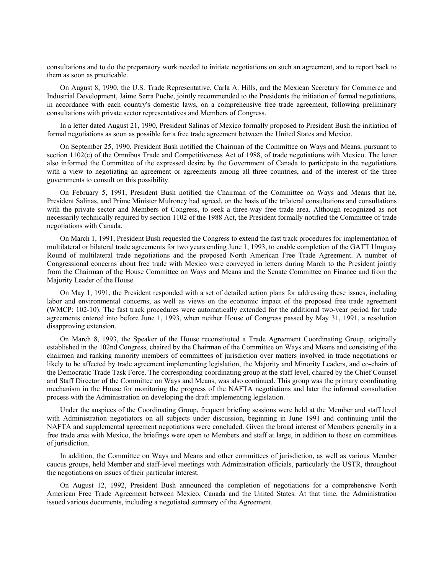consultations and to do the preparatory work needed to initiate negotiations on such an agreement, and to report back to them as soon as practicable.

On August 8, 1990, the U.S. Trade Representative, Carla A. Hills, and the Mexican Secretary for Commerce and Industrial Development, Jaime Serra Puche, jointly recommended to the Presidents the initiation of formal negotiations, in accordance with each country's domestic laws, on a comprehensive free trade agreement, following preliminary consultations with private sector representatives and Members of Congress.

In a letter dated August 21, 1990, President Salinas of Mexico formally proposed to President Bush the initiation of formal negotiations as soon as possible for a free trade agreement between the United States and Mexico.

On September 25, 1990, President Bush notified the Chairman of the Committee on Ways and Means, pursuant to section 1102(c) of the Omnibus Trade and Competitiveness Act of 1988, of trade negotiations with Mexico. The letter also informed the Committee of the expressed desire by the Government of Canada to participate in the negotiations with a view to negotiating an agreement or agreements among all three countries, and of the interest of the three governments to consult on this possibility.

On February 5, 1991, President Bush notified the Chairman of the Committee on Ways and Means that he, President Salinas, and Prime Minister Mulroney had agreed, on the basis of the trilateral consultations and consultations with the private sector and Members of Congress, to seek a three-way free trade area. Although recognized as not necessarily technically required by section 1102 of the 1988 Act, the President formally notified the Committee of trade negotiations with Canada.

On March 1, 1991, President Bush requested the Congress to extend the fast track procedures for implementation of multilateral or bilateral trade agreements for two years ending June 1, 1993, to enable completion of the GATT Uruguay Round of multilateral trade negotiations and the proposed North American Free Trade Agreement. A number of Congressional concerns about free trade with Mexico were conveyed in letters during March to the President jointly from the Chairman of the House Committee on Ways and Means and the Senate Committee on Finance and from the Majority Leader of the House.

On May 1, 1991, the President responded with a set of detailed action plans for addressing these issues, including labor and environmental concerns, as well as views on the economic impact of the proposed free trade agreement (WMCP: 102-10). The fast track procedures were automatically extended for the additional two-year period for trade agreements entered into before June 1, 1993, when neither House of Congress passed by May 31, 1991, a resolution disapproving extension.

On March 8, 1993, the Speaker of the House reconstituted a Trade Agreement Coordinating Group, originally established in the 102nd Congress, chaired by the Chairman of the Committee on Ways and Means and consisting of the chairmen and ranking minority members of committees of jurisdiction over matters involved in trade negotiations or likely to be affected by trade agreement implementing legislation, the Majority and Minority Leaders, and co-chairs of the Democratic Trade Task Force. The corresponding coordinating group at the staff level, chaired by the Chief Counsel and Staff Director of the Committee on Ways and Means, was also continued. This group was the primary coordinating mechanism in the House for monitoring the progress of the NAFTA negotiations and later the informal consultation process with the Administration on developing the draft implementing legislation.

Under the auspices of the Coordinating Group, frequent briefing sessions were held at the Member and staff level with Administration negotiators on all subjects under discussion, beginning in June 1991 and continuing until the NAFTA and supplemental agreement negotiations were concluded. Given the broad interest of Members generally in a free trade area with Mexico, the briefings were open to Members and staff at large, in addition to those on committees of jurisdiction.

In addition, the Committee on Ways and Means and other committees of jurisdiction, as well as various Member caucus groups, held Member and staff-level meetings with Administration officials, particularly the USTR, throughout the negotiations on issues of their particular interest.

On August 12, 1992, President Bush announced the completion of negotiations for a comprehensive North American Free Trade Agreement between Mexico, Canada and the United States. At that time, the Administration issued various documents, including a negotiated summary of the Agreement.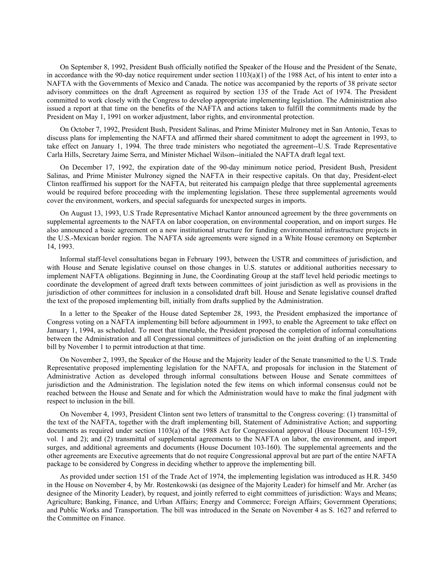On September 8, 1992, President Bush officially notified the Speaker of the House and the President of the Senate, in accordance with the 90-day notice requirement under section  $1103(a)(1)$  of the 1988 Act, of his intent to enter into a NAFTA with the Governments of Mexico and Canada. The notice was accompanied by the reports of 38 private sector advisory committees on the draft Agreement as required by section 135 of the Trade Act of 1974. The President committed to work closely with the Congress to develop appropriate implementing legislation. The Administration also issued a report at that time on the benefits of the NAFTA and actions taken to fulfill the commitments made by the President on May 1, 1991 on worker adjustment, labor rights, and environmental protection.

On October 7, 1992, President Bush, President Salinas, and Prime Minister Mulroney met in San Antonio, Texas to discuss plans for implementing the NAFTA and affirmed their shared commitment to adopt the agreement in 1993, to take effect on January 1, 1994. The three trade ministers who negotiated the agreement--U.S. Trade Representative Carla Hills, Secretary Jaime Serra, and Minister Michael Wilson--initialed the NAFTA draft legal text.

On December 17, 1992, the expiration date of the 90-day minimum notice period, President Bush, President Salinas, and Prime Minister Mulroney signed the NAFTA in their respective capitals. On that day, President-elect Clinton reaffirmed his support for the NAFTA, but reiterated his campaign pledge that three supplemental agreements would be required before proceeding with the implementing legislation. These three supplemental agreements would cover the environment, workers, and special safeguards for unexpected surges in imports.

On August 13, 1993, U.S Trade Representative Michael Kantor announced agreement by the three governments on supplemental agreements to the NAFTA on labor cooperation, on environmental cooperation, and on import surges. He also announced a basic agreement on a new institutional structure for funding environmental infrastructure projects in the U.S.-Mexican border region. The NAFTA side agreements were signed in a White House ceremony on September 14, 1993.

Informal staff-level consultations began in February 1993, between the USTR and committees of jurisdiction, and with House and Senate legislative counsel on those changes in U.S. statutes or additional authorities necessary to implement NAFTA obligations. Beginning in June, the Coordinating Group at the staff level held periodic meetings to coordinate the development of agreed draft texts between committees of joint jurisdiction as well as provisions in the jurisdiction of other committees for inclusion in a consolidated draft bill. House and Senate legislative counsel drafted the text of the proposed implementing bill, initially from drafts supplied by the Administration.

In a letter to the Speaker of the House dated September 28, 1993, the President emphasized the importance of Congress voting on a NAFTA implementing bill before adjournment in 1993, to enable the Agreement to take effect on January 1, 1994, as scheduled. To meet that timetable, the President proposed the completion of informal consultations between the Administration and all Congressional committees of jurisdiction on the joint drafting of an implementing bill by November 1 to permit introduction at that time.

On November 2, 1993, the Speaker of the House and the Majority leader of the Senate transmitted to the U.S. Trade Representative proposed implementing legislation for the NAFTA, and proposals for inclusion in the Statement of Administrative Action as developed through informal consultations between House and Senate committees of jurisdiction and the Administration. The legislation noted the few items on which informal consensus could not be reached between the House and Senate and for which the Administration would have to make the final judgment with respect to inclusion in the bill.

On November 4, 1993, President Clinton sent two letters of transmittal to the Congress covering: (1) transmittal of the text of the NAFTA, together with the draft implementing bill, Statement of Administrative Action; and supporting documents as required under section 1103(a) of the 1988 Act for Congressional approval (House Document 103-159, vol. 1 and 2); and (2) transmittal of supplemental agreements to the NAFTA on labor, the environment, and import surges, and additional agreements and documents (House Document 103-160). The supplemental agreements and the other agreements are Executive agreements that do not require Congressional approval but are part of the entire NAFTA package to be considered by Congress in deciding whether to approve the implementing bill.

As provided under section 151 of the Trade Act of 1974, the implementing legislation was introduced as H.R. 3450 in the House on November 4, by Mr. Rostenkowski (as designee of the Majority Leader) for himself and Mr. Archer (as designee of the Minority Leader), by request, and jointly referred to eight committees of jurisdiction: Ways and Means; Agriculture; Banking, Finance, and Urban Affairs; Energy and Commerce; Foreign Affairs; Government Operations; and Public Works and Transportation. The bill was introduced in the Senate on November 4 as S. 1627 and referred to the Committee on Finance.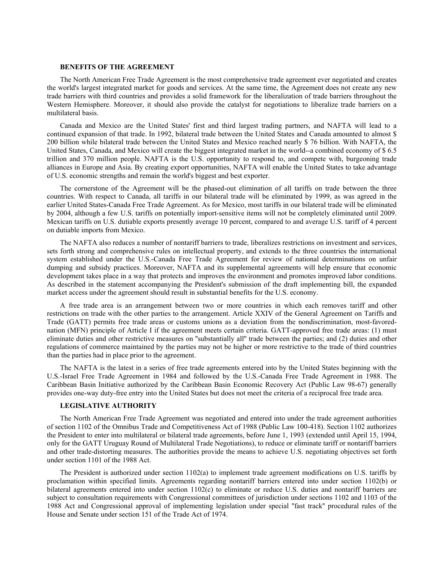### **BENEFITS OF THE AGREEMENT**

The North American Free Trade Agreement is the most comprehensive trade agreement ever negotiated and creates the world's largest integrated market for goods and services. At the same time, the Agreement does not create any new trade barriers with third countries and provides a solid framework for the liberalization of trade barriers throughout the Western Hemisphere. Moreover, it should also provide the catalyst for negotiations to liberalize trade barriers on a multilateral basis.

Canada and Mexico are the United States' first and third largest trading partners, and NAFTA will lead to a continued expansion of that trade. In 1992, bilateral trade between the United States and Canada amounted to almost \$ 200 billion while bilateral trade between the United States and Mexico reached nearly \$ 76 billion. With NAFTA, the United States, Canada, and Mexico will create the biggest integrated market in the world--a combined economy of \$ 6.5 trillion and 370 million people. NAFTA is the U.S. opportunity to respond to, and compete with, burgeoning trade alliances in Europe and Asia. By creating export opportunities, NAFTA will enable the United States to take advantage of U.S. economic strengths and remain the world's biggest and best exporter.

The cornerstone of the Agreement will be the phased-out elimination of all tariffs on trade between the three countries. With respect to Canada, all tariffs in our bilateral trade will be eliminated by 1999, as was agreed in the earlier United States-Canada Free Trade Agreement. As for Mexico, most tariffs in our bilateral trade will be eliminated by 2004, although a few U.S. tariffs on potentially import-sensitive items will not be completely eliminated until 2009. Mexican tariffs on U.S. dutiable exports presently average 10 percent, compared to and average U.S. tariff of 4 percent on dutiable imports from Mexico.

The NAFTA also reduces a number of nontariff barriers to trade, liberalizes restrictions on investment and services, sets forth strong and comprehensive rules on intellectual property, and extends to the three countries the international system established under the U.S.-Canada Free Trade Agreement for review of national determinations on unfair dumping and subsidy practices. Moreover, NAFTA and its supplemental agreements will help ensure that economic development takes place in a way that protects and improves the environment and promotes improved labor conditions. As described in the statement accompanying the President's submission of the draft implementing bill, the expanded market access under the agreement should result in substantial benefits for the U.S. economy.

A free trade area is an arrangement between two or more countries in which each removes tariff and other restrictions on trade with the other parties to the arrangement. Article XXIV of the General Agreement on Tariffs and Trade (GATT) permits free trade areas or customs unions as a deviation from the nondiscrimination, most-favorednation (MFN) principle of Article I if the agreement meets certain criteria. GATT-approved free trade areas: (1) must eliminate duties and other restrictive measures on ''substantially all'' trade between the parties; and (2) duties and other regulations of commerce maintained by the parties may not be higher or more restrictive to the trade of third countries than the parties had in place prior to the agreement.

The NAFTA is the latest in a series of free trade agreements entered into by the United States beginning with the U.S.-Israel Free Trade Agreement in 1984 and followed by the U.S.-Canada Free Trade Agreement in 1988. The Caribbean Basin Initiative authorized by the Caribbean Basin Economic Recovery Act (Public Law 98-67) generally provides one-way duty-free entry into the United States but does not meet the criteria of a reciprocal free trade area.

### **LEGISLATIVE AUTHORITY**

The North American Free Trade Agreement was negotiated and entered into under the trade agreement authorities of section 1102 of the Omnibus Trade and Competitiveness Act of 1988 (Public Law 100-418). Section 1102 authorizes the President to enter into multilateral or bilateral trade agreements, before June 1, 1993 (extended until April 15, 1994, only for the GATT Uruguay Round of Multilateral Trade Negotiations), to reduce or eliminate tariff or nontariff barriers and other trade-distorting measures. The authorities provide the means to achieve U.S. negotiating objectives set forth under section 1101 of the 1988 Act.

The President is authorized under section 1102(a) to implement trade agreement modifications on U.S. tariffs by proclamation within specified limits. Agreements regarding nontariff barriers entered into under section 1102(b) or bilateral agreements entered into under section 1102(c) to eliminate or reduce U.S. duties and nontariff barriers are subject to consultation requirements with Congressional committees of jurisdiction under sections 1102 and 1103 of the 1988 Act and Congressional approval of implementing legislation under special ''fast track'' procedural rules of the House and Senate under section 151 of the Trade Act of 1974.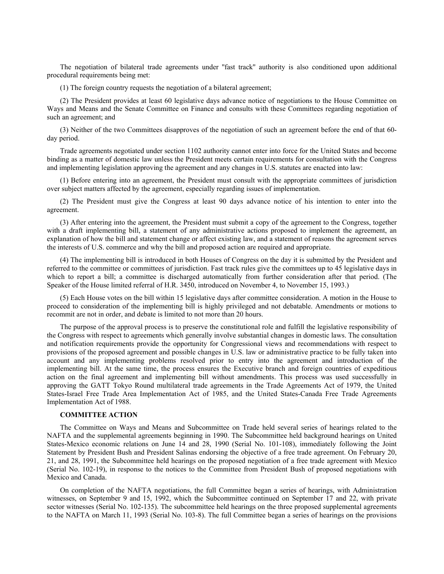The negotiation of bilateral trade agreements under ''fast track'' authority is also conditioned upon additional procedural requirements being met:

(1) The foreign country requests the negotiation of a bilateral agreement;

(2) The President provides at least 60 legislative days advance notice of negotiations to the House Committee on Ways and Means and the Senate Committee on Finance and consults with these Committees regarding negotiation of such an agreement; and

(3) Neither of the two Committees disapproves of the negotiation of such an agreement before the end of that 60 day period.

Trade agreements negotiated under section 1102 authority cannot enter into force for the United States and become binding as a matter of domestic law unless the President meets certain requirements for consultation with the Congress and implementing legislation approving the agreement and any changes in U.S. statutes are enacted into law:

(1) Before entering into an agreement, the President must consult with the appropriate committees of jurisdiction over subject matters affected by the agreement, especially regarding issues of implementation.

(2) The President must give the Congress at least 90 days advance notice of his intention to enter into the agreement.

(3) After entering into the agreement, the President must submit a copy of the agreement to the Congress, together with a draft implementing bill, a statement of any administrative actions proposed to implement the agreement, an explanation of how the bill and statement change or affect existing law, and a statement of reasons the agreement serves the interests of U.S. commerce and why the bill and proposed action are required and appropriate.

(4) The implementing bill is introduced in both Houses of Congress on the day it is submitted by the President and referred to the committee or committees of jurisdiction. Fast track rules give the committees up to 45 legislative days in which to report a bill; a committee is discharged automatically from further consideration after that period. (The Speaker of the House limited referral of H.R. 3450, introduced on November 4, to November 15, 1993.)

(5) Each House votes on the bill within 15 legislative days after committee consideration. A motion in the House to proceed to consideration of the implementing bill is highly privileged and not debatable. Amendments or motions to recommit are not in order, and debate is limited to not more than 20 hours.

The purpose of the approval process is to preserve the constitutional role and fulfill the legislative responsibility of the Congress with respect to agreements which generally involve substantial changes in domestic laws. The consultation and notification requirements provide the opportunity for Congressional views and recommendations with respect to provisions of the proposed agreement and possible changes in U.S. law or administrative practice to be fully taken into account and any implementing problems resolved prior to entry into the agreement and introduction of the implementing bill. At the same time, the process ensures the Executive branch and foreign countries of expeditious action on the final agreement and implementing bill without amendments. This process was used successfully in approving the GATT Tokyo Round multilateral trade agreements in the Trade Agreements Act of 1979, the United States-Israel Free Trade Area Implementation Act of 1985, and the United States-Canada Free Trade Agreements Implementation Act of 1988.

### **COMMITTEE ACTION**

The Committee on Ways and Means and Subcommittee on Trade held several series of hearings related to the NAFTA and the supplemental agreements beginning in 1990. The Subcommittee held background hearings on United States-Mexico economic relations on June 14 and 28, 1990 (Serial No. 101-108), immediately following the Joint Statement by President Bush and President Salinas endorsing the objective of a free trade agreement. On February 20, 21, and 28, 1991, the Subcommittee held hearings on the proposed negotiation of a free trade agreement with Mexico (Serial No. 102-19), in response to the notices to the Committee from President Bush of proposed negotiations with Mexico and Canada.

On completion of the NAFTA negotiations, the full Committee began a series of hearings, with Administration witnesses, on September 9 and 15, 1992, which the Subcommittee continued on September 17 and 22, with private sector witnesses (Serial No. 102-135). The subcommittee held hearings on the three proposed supplemental agreements to the NAFTA on March 11, 1993 (Serial No. 103-8). The full Committee began a series of hearings on the provisions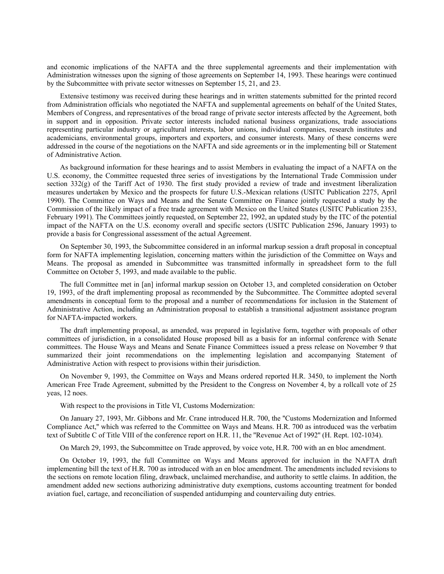and economic implications of the NAFTA and the three supplemental agreements and their implementation with Administration witnesses upon the signing of those agreements on September 14, 1993. These hearings were continued by the Subcommittee with private sector witnesses on September 15, 21, and 23.

Extensive testimony was received during these hearings and in written statements submitted for the printed record from Administration officials who negotiated the NAFTA and supplemental agreements on behalf of the United States, Members of Congress, and representatives of the broad range of private sector interests affected by the Agreement, both in support and in opposition. Private sector interests included national business organizations, trade associations representing particular industry or agricultural interests, labor unions, individual companies, research institutes and academicians, environmental groups, importers and exporters, and consumer interests. Many of these concerns were addressed in the course of the negotiations on the NAFTA and side agreements or in the implementing bill or Statement of Administrative Action.

As background information for these hearings and to assist Members in evaluating the impact of a NAFTA on the U.S. economy, the Committee requested three series of investigations by the International Trade Commission under section 332(g) of the Tariff Act of 1930. The first study provided a review of trade and investment liberalization measures undertaken by Mexico and the prospects for future U.S.-Mexican relations (USITC Publication 2275, April 1990). The Committee on Ways and Means and the Senate Committee on Finance jointly requested a study by the Commission of the likely impact of a free trade agreement with Mexico on the United States (USITC Publication 2353, February 1991). The Committees jointly requested, on September 22, 1992, an updated study by the ITC of the potential impact of the NAFTA on the U.S. economy overall and specific sectors (USITC Publication 2596, January 1993) to provide a basis for Congressional assessment of the actual Agreement.

On September 30, 1993, the Subcommittee considered in an informal markup session a draft proposal in conceptual form for NAFTA implementing legislation, concerning matters within the jurisdiction of the Committee on Ways and Means. The proposal as amended in Subcommittee was transmitted informally in spreadsheet form to the full Committee on October 5, 1993, and made available to the public.

The full Committee met in [an] informal markup session on October 13, and completed consideration on October 19, 1993, of the draft implementing proposal as recommended by the Subcommittee. The Committee adopted several amendments in conceptual form to the proposal and a number of recommendations for inclusion in the Statement of Administrative Action, including an Administration proposal to establish a transitional adjustment assistance program for NAFTA-impacted workers.

The draft implementing proposal, as amended, was prepared in legislative form, together with proposals of other committees of jurisdiction, in a consolidated House proposed bill as a basis for an informal conference with Senate committees. The House Ways and Means and Senate Finance Committees issued a press release on November 9 that summarized their joint recommendations on the implementing legislation and accompanying Statement of Administrative Action with respect to provisions within their jurisdiction.

On November 9, 1993, the Committee on Ways and Means ordered reported H.R. 3450, to implement the North American Free Trade Agreement, submitted by the President to the Congress on November 4, by a rollcall vote of 25 yeas, 12 noes.

With respect to the provisions in Title VI, Customs Modernization:

On January 27, 1993, Mr. Gibbons and Mr. Crane introduced H.R. 700, the ''Customs Modernization and Informed Compliance Act,'' which was referred to the Committee on Ways and Means. H.R. 700 as introduced was the verbatim text of Subtitle C of Title VIII of the conference report on H.R. 11, the ''Revenue Act of 1992'' (H. Rept. 102-1034).

On March 29, 1993, the Subcommittee on Trade approved, by voice vote, H.R. 700 with an en bloc amendment.

On October 19, 1993, the full Committee on Ways and Means approved for inclusion in the NAFTA draft implementing bill the text of H.R. 700 as introduced with an en bloc amendment. The amendments included revisions to the sections on remote location filing, drawback, unclaimed merchandise, and authority to settle claims. In addition, the amendment added new sections authorizing administrative duty exemptions, customs accounting treatment for bonded aviation fuel, cartage, and reconciliation of suspended antidumping and countervailing duty entries.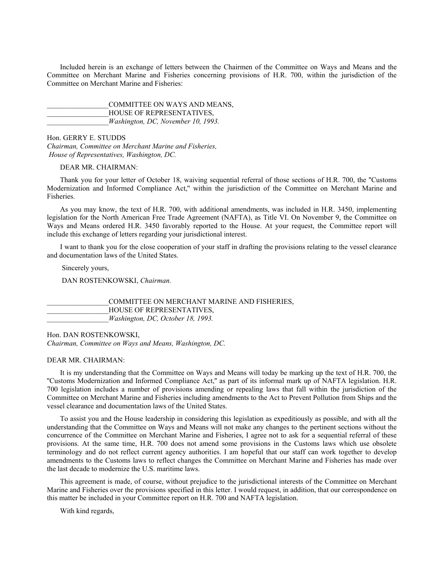Included herein is an exchange of letters between the Chairmen of the Committee on Ways and Means and the Committee on Merchant Marine and Fisheries concerning provisions of H.R. 700, within the jurisdiction of the Committee on Merchant Marine and Fisheries:

COMMITTEE ON WAYS AND MEANS, HOUSE OF REPRESENTATIVES. \_\_\_\_\_\_\_\_\_\_\_\_\_\_\_\_\_*Washington, DC, November 10, 1993.*

Hon. GERRY E. STUDDS *Chairman, Committee on Merchant Marine and Fisheries, House of Representatives, Washington, DC.*

DEAR MR. CHAIRMAN:

Thank you for your letter of October 18, waiving sequential referral of those sections of H.R. 700, the ''Customs Modernization and Informed Compliance Act,'' within the jurisdiction of the Committee on Merchant Marine and Fisheries.

As you may know, the text of H.R. 700, with additional amendments, was included in H.R. 3450, implementing legislation for the North American Free Trade Agreement (NAFTA), as Title VI. On November 9, the Committee on Ways and Means ordered H.R. 3450 favorably reported to the House. At your request, the Committee report will include this exchange of letters regarding your jurisdictional interest.

I want to thank you for the close cooperation of your staff in drafting the provisions relating to the vessel clearance and documentation laws of the United States.

Sincerely yours,

DAN ROSTENKOWSKI, *Chairman.*

\_\_\_\_\_\_\_\_\_\_\_\_\_\_\_\_\_COMMITTEE ON MERCHANT MARINE AND FISHERIES, HOUSE OF REPRESENTATIVES, \_\_\_\_\_\_\_\_\_\_\_\_\_\_\_\_\_*Washington, DC, October 18, 1993.*

Hon. DAN ROSTENKOWSKI, *Chairman, Committee on Ways and Means, Washington, DC.*

DEAR MR. CHAIRMAN:

It is my understanding that the Committee on Ways and Means will today be marking up the text of H.R. 700, the ''Customs Modernization and Informed Compliance Act,'' as part of its informal mark up of NAFTA legislation. H.R. 700 legislation includes a number of provisions amending or repealing laws that fall within the jurisdiction of the Committee on Merchant Marine and Fisheries including amendments to the Act to Prevent Pollution from Ships and the vessel clearance and documentation laws of the United States.

To assist you and the House leadership in considering this legislation as expeditiously as possible, and with all the understanding that the Committee on Ways and Means will not make any changes to the pertinent sections without the concurrence of the Committee on Merchant Marine and Fisheries, I agree not to ask for a sequential referral of these provisions. At the same time, H.R. 700 does not amend some provisions in the Customs laws which use obsolete terminology and do not reflect current agency authorities. I am hopeful that our staff can work together to develop amendments to the Customs laws to reflect changes the Committee on Merchant Marine and Fisheries has made over the last decade to modernize the U.S. maritime laws.

This agreement is made, of course, without prejudice to the jurisdictional interests of the Committee on Merchant Marine and Fisheries over the provisions specified in this letter. I would request, in addition, that our correspondence on this matter be included in your Committee report on H.R. 700 and NAFTA legislation.

With kind regards,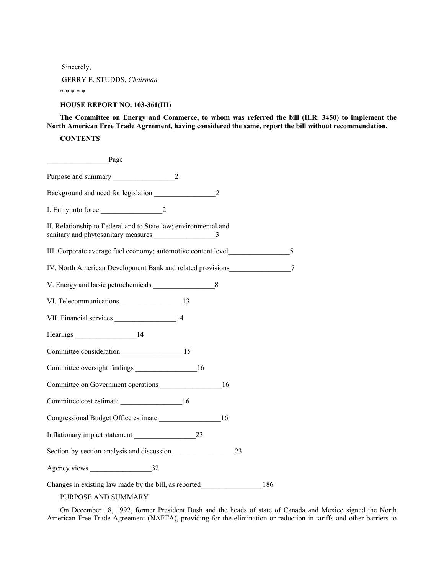Sincerely,

GERRY E. STUDDS, *Chairman.*

\* \* \* \* \*

# **HOUSE REPORT NO. 103-361(III)**

**The Committee on Energy and Commerce, to whom was referred the bill (H.R. 3450) to implement the North American Free Trade Agreement, having considered the same, report the bill without recommendation.**

## **CONTENTS**

| Page                                                            |  |
|-----------------------------------------------------------------|--|
| Purpose and summary 2                                           |  |
| Background and need for legislation 2                           |  |
|                                                                 |  |
| II. Relationship to Federal and to State law; environmental and |  |
|                                                                 |  |
| IV. North American Development Bank and related provisions 27   |  |
| V. Energy and basic petrochemicals 8                            |  |
| VI. Telecommunications _______________________13                |  |
|                                                                 |  |
|                                                                 |  |
|                                                                 |  |
|                                                                 |  |
| Committee on Government operations 16                           |  |
| Committee cost estimate 16                                      |  |
| Congressional Budget Office estimate 16                         |  |
|                                                                 |  |
| Section-by-section-analysis and discussion<br>23                |  |
| Agency views 32                                                 |  |
| Changes in existing law made by the bill, as reported 186       |  |

PURPOSE AND SUMMARY

On December 18, 1992, former President Bush and the heads of state of Canada and Mexico signed the North American Free Trade Agreement (NAFTA), providing for the elimination or reduction in tariffs and other barriers to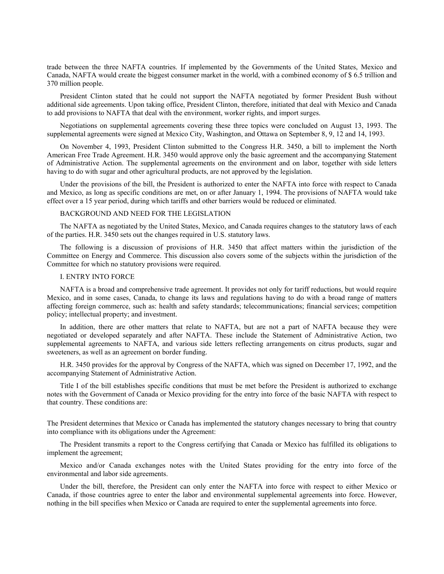trade between the three NAFTA countries. If implemented by the Governments of the United States, Mexico and Canada, NAFTA would create the biggest consumer market in the world, with a combined economy of \$ 6.5 trillion and 370 million people.

President Clinton stated that he could not support the NAFTA negotiated by former President Bush without additional side agreements. Upon taking office, President Clinton, therefore, initiated that deal with Mexico and Canada to add provisions to NAFTA that deal with the environment, worker rights, and import surges.

Negotiations on supplemental agreements covering these three topics were concluded on August 13, 1993. The supplemental agreements were signed at Mexico City, Washington, and Ottawa on September 8, 9, 12 and 14, 1993.

On November 4, 1993, President Clinton submitted to the Congress H.R. 3450, a bill to implement the North American Free Trade Agreement. H.R. 3450 would approve only the basic agreement and the accompanying Statement of Administrative Action. The supplemental agreements on the environment and on labor, together with side letters having to do with sugar and other agricultural products, are not approved by the legislation.

Under the provisions of the bill, the President is authorized to enter the NAFTA into force with respect to Canada and Mexico, as long as specific conditions are met, on or after January 1, 1994. The provisions of NAFTA would take effect over a 15 year period, during which tariffs and other barriers would be reduced or eliminated.

### BACKGROUND AND NEED FOR THE LEGISLATION

The NAFTA as negotiated by the United States, Mexico, and Canada requires changes to the statutory laws of each of the parties. H.R. 3450 sets out the changes required in U.S. statutory laws.

The following is a discussion of provisions of H.R. 3450 that affect matters within the jurisdiction of the Committee on Energy and Commerce. This discussion also covers some of the subjects within the jurisdiction of the Committee for which no statutory provisions were required.

### I. ENTRY INTO FORCE

NAFTA is a broad and comprehensive trade agreement. It provides not only for tariff reductions, but would require Mexico, and in some cases, Canada, to change its laws and regulations having to do with a broad range of matters affecting foreign commerce, such as: health and safety standards; telecommunications; financial services; competition policy; intellectual property; and investment.

In addition, there are other matters that relate to NAFTA, but are not a part of NAFTA because they were negotiated or developed separately and after NAFTA. These include the Statement of Administrative Action, two supplemental agreements to NAFTA, and various side letters reflecting arrangements on citrus products, sugar and sweeteners, as well as an agreement on border funding.

H.R. 3450 provides for the approval by Congress of the NAFTA, which was signed on December 17, 1992, and the accompanying Statement of Administrative Action.

Title I of the bill establishes specific conditions that must be met before the President is authorized to exchange notes with the Government of Canada or Mexico providing for the entry into force of the basic NAFTA with respect to that country. These conditions are:

The President determines that Mexico or Canada has implemented the statutory changes necessary to bring that country into compliance with its obligations under the Agreement:

The President transmits a report to the Congress certifying that Canada or Mexico has fulfilled its obligations to implement the agreement;

Mexico and/or Canada exchanges notes with the United States providing for the entry into force of the environmental and labor side agreements.

Under the bill, therefore, the President can only enter the NAFTA into force with respect to either Mexico or Canada, if those countries agree to enter the labor and environmental supplemental agreements into force. However, nothing in the bill specifies when Mexico or Canada are required to enter the supplemental agreements into force.